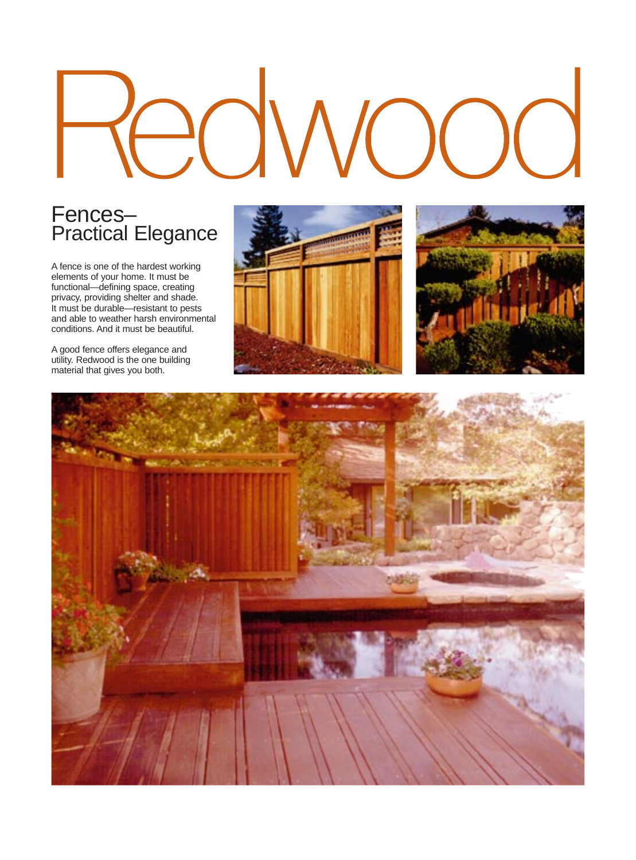#### Fences– Practical Elegance

A fence is one of the hardest working elements of your home. It must be functional—defining space, creating privacy, providing shelter and shade. It must be durable—resistant to pests and able to weather harsh environmental conditions. And it must be beautiful.

A good fence offers elegance and utility. Redwood is the one building material that gives you both.





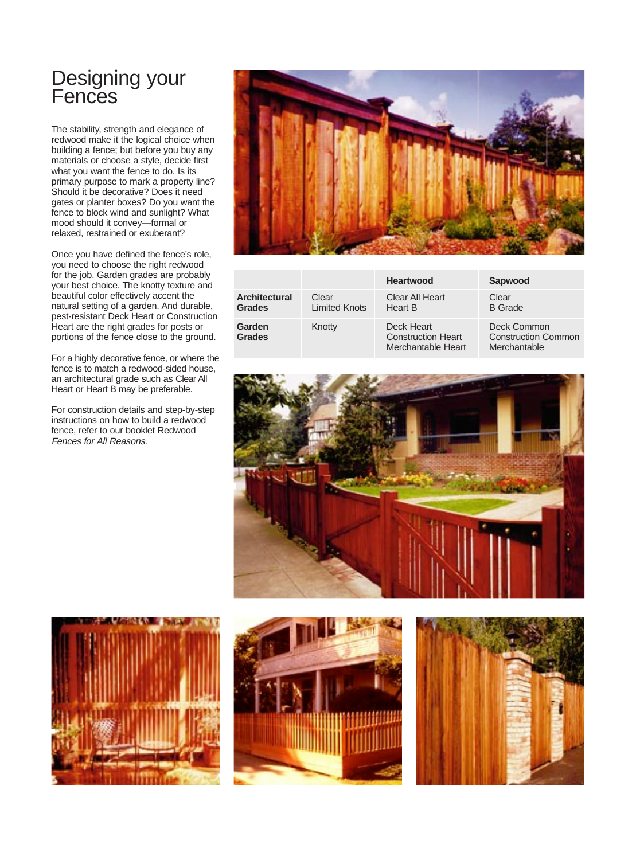## Designing your **Fences**

The stability, strength and elegance of redwood make it the logical choice when building a fence; but before you buy any materials or choose a style, decide first what you want the fence to do. Is its primary purpose to mark a property line? Should it be decorative? Does it need gates or planter boxes? Do you want the fence to block wind and sunlight? What mood should it convey—formal or relaxed, restrained or exuberant?

Once you have defined the fence's role, you need to choose the right redwood for the job. Garden grades are probably your best choice. The knotty texture and beautiful color effectively accent the natural setting of a garden. And durable, pest-resistant Deck Heart or Construction Heart are the right grades for posts or portions of the fence close to the ground.

For a highly decorative fence, or where the fence is to match a redwood-sided house, an architectural grade such as Clear All Heart or Heart B may be preferable.

For construction details and step-by-step instructions on how to build a redwood fence, refer to our booklet Redwood Fences for All Reasons.



|                                       |                               | <b>Heartwood</b>                                              | Sapwood                                                   |
|---------------------------------------|-------------------------------|---------------------------------------------------------------|-----------------------------------------------------------|
| <b>Architectural</b><br><b>Grades</b> | Clear<br><b>Limited Knots</b> | Clear All Heart<br>Heart B                                    | Clear<br><b>B</b> Grade                                   |
| Garden<br><b>Grades</b>               | Knotty                        | Deck Heart<br><b>Construction Heart</b><br>Merchantable Heart | Deck Common<br><b>Construction Common</b><br>Merchantable |







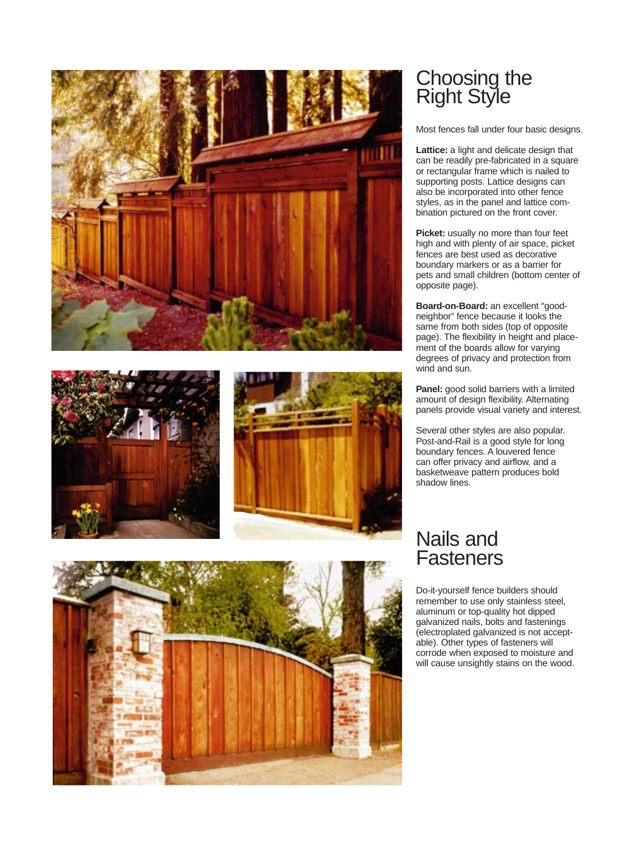







## Choosing the Right Style

Most fences fall under four basic designs.

**Lattice:** a light and delicate design that can be readily pre-fabricated in a square or rectangular frame which is nailed to supporting posts. Lattice designs can also be incorporated into other fence styles, as in the panel and lattice combination pictured on the front cover.

**Picket:** usually no more than four feet high and with plenty of air space, picket fences are best used as decorative boundary markers or as a barrier for pets and small children (bottom center of opposite page).

**Board-on-Board:** an excellent "goodneighbor" fence because it looks the same from both sides (top of opposite page). The flexibility in height and placement of the boards allow for varying degrees of privacy and protection from wind and sun.

**Panel:** good solid barriers with a limited amount of design flexibility. Alternating panels provide visual variety and interest.

Several other styles are also popular. Post-and-Rail is a good style for long boundary fences. A louvered fence can offer privacy and airflow, and a basketweave pattern produces bold shadow lines.

#### Nails and **Fasteners**

Do-it-yourself fence builders should remember to use only stainless steel, aluminum or top-quality hot dipped galvanized nails, bolts and fastenings (electroplated galvanized is not acceptable). Other types of fasteners will corrode when exposed to moisture and will cause unsightly stains on the wood.